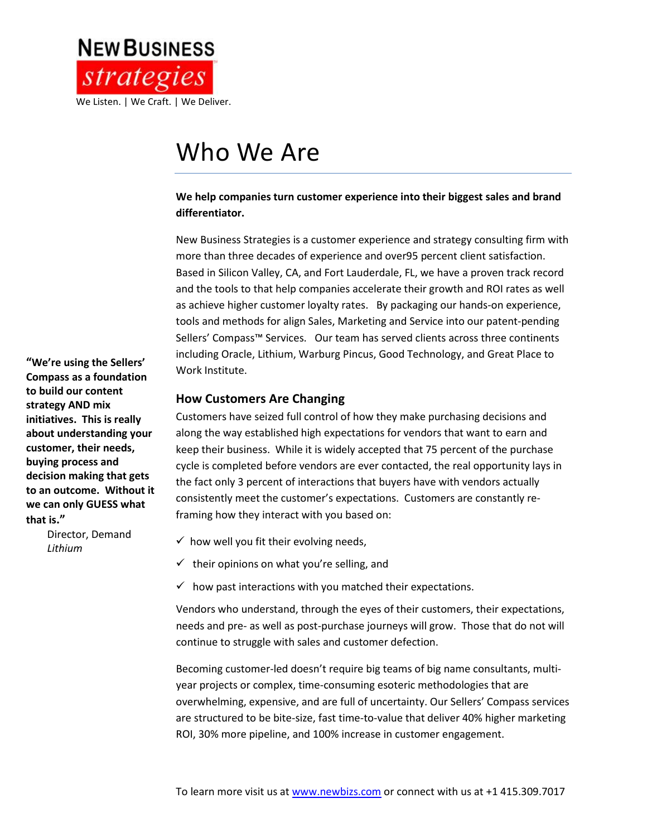

# Who We Are

#### **We help companies turn customer experience into their biggest sales and brand differentiator.**

New Business Strategies is a customer experience and strategy consulting firm with more than three decades of experience and over95 percent client satisfaction. Based in Silicon Valley, CA, and Fort Lauderdale, FL, we have a proven track record and the tools to that help companies accelerate their growth and ROI rates as well as achieve higher customer loyalty rates. By packaging our hands-on experience, tools and methods for align Sales, Marketing and Service into our patent-pending Sellers' Compass™ Services. Our team has served clients across three continents including Oracle, Lithium, Warburg Pincus, Good Technology, and Great Place to Work Institute.

#### **How Customers Are Changing**

Customers have seized full control of how they make purchasing decisions and along the way established high expectations for vendors that want to earn and keep their business. While it is widely accepted that 75 percent of the purchase cycle is completed before vendors are ever contacted, the real opportunity lays in the fact only 3 percent of interactions that buyers have with vendors actually consistently meet the customer's expectations. Customers are constantly reframing how they interact with you based on:

- $\checkmark$  how well you fit their evolving needs,
- $\checkmark$  their opinions on what you're selling, and
- $\checkmark$  how past interactions with you matched their expectations.

Vendors who understand, through the eyes of their customers, their expectations, needs and pre- as well as post-purchase journeys will grow. Those that do not will continue to struggle with sales and customer defection.

Becoming customer-led doesn't require big teams of big name consultants, multiyear projects or complex, time-consuming esoteric methodologies that are overwhelming, expensive, and are full of uncertainty. Our Sellers' Compass services are structured to be bite-size, fast time-to-value that deliver 40% higher marketing ROI, 30% more pipeline, and 100% increase in customer engagement.

**"We're using the Sellers' Compass as a foundation to build our content strategy AND mix initiatives. This is really about understanding your customer, their needs, buying process and decision making that gets to an outcome. Without it we can only GUESS what that is."**

> Director, Demand  *Lithium*